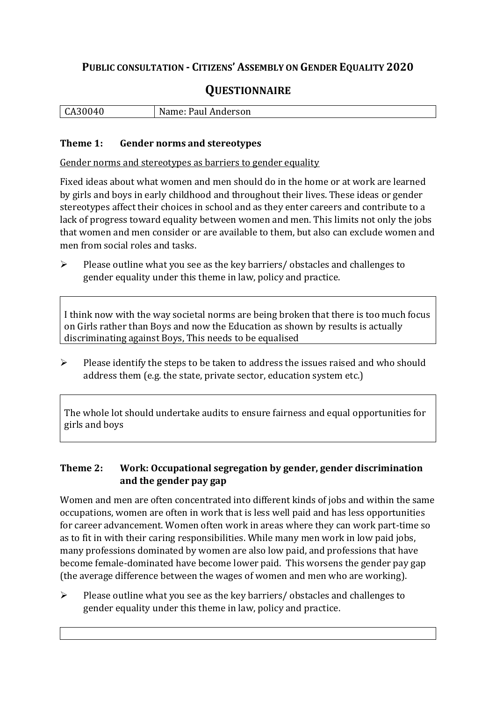## **PUBLIC CONSULTATION - CITIZENS' ASSEMBLY ON GENDER EQUALITY 2020**

# **QUESTIONNAIRE**

| ΙC.<br>$\overline{ }$<br>u | N.<br>Paul Anderson<br>ivame: P |
|----------------------------|---------------------------------|
|                            |                                 |

#### **Theme 1: Gender norms and stereotypes**

Gender norms and stereotypes as barriers to gender equality

Fixed ideas about what women and men should do in the home or at work are learned by girls and boys in early childhood and throughout their lives. These ideas or gender stereotypes affect their choices in school and as they enter careers and contribute to a lack of progress toward equality between women and men. This limits not only the jobs that women and men consider or are available to them, but also can exclude women and men from social roles and tasks.

➢ Please outline what you see as the key barriers/ obstacles and challenges to gender equality under this theme in law, policy and practice.

I think now with the way societal norms are being broken that there is too much focus on Girls rather than Boys and now the Education as shown by results is actually discriminating against Boys, This needs to be equalised

➢ Please identify the steps to be taken to address the issues raised and who should address them (e.g. the state, private sector, education system etc.)

The whole lot should undertake audits to ensure fairness and equal opportunities for girls and boys

#### **Theme 2: Work: Occupational segregation by gender, gender discrimination and the gender pay gap**

Women and men are often concentrated into different kinds of jobs and within the same occupations, women are often in work that is less well paid and has less opportunities for career advancement. Women often work in areas where they can work part-time so as to fit in with their caring responsibilities. While many men work in low paid jobs, many professions dominated by women are also low paid, and professions that have become female-dominated have become lower paid. This worsens the gender pay gap (the average difference between the wages of women and men who are working).

➢ Please outline what you see as the key barriers/ obstacles and challenges to gender equality under this theme in law, policy and practice.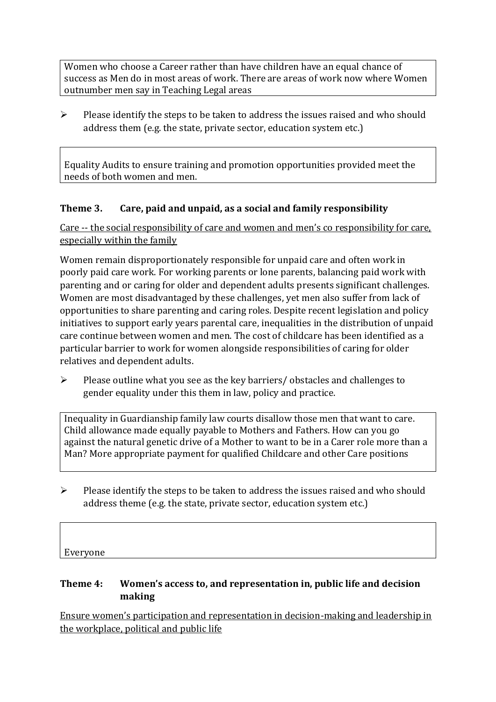Women who choose a Career rather than have children have an equal chance of success as Men do in most areas of work. There are areas of work now where Women outnumber men say in Teaching Legal areas

 $\triangleright$  Please identify the steps to be taken to address the issues raised and who should address them (e.g. the state, private sector, education system etc.)

Equality Audits to ensure training and promotion opportunities provided meet the needs of both women and men.

## **Theme 3. Care, paid and unpaid, as a social and family responsibility**

Care -- the social responsibility of care and women and men's co responsibility for care, especially within the family

Women remain disproportionately responsible for unpaid care and often work in poorly paid care work. For working parents or [lone parents,](https://aran.library.nuigalway.ie/bitstream/handle/10379/6044/Millar_and_Crosse_Activation_Report.pdf?sequence=1&isAllowed=y) balancing paid work with parenting and or caring for older and dependent adults presents significant challenges. Women are [most disadvantaged by these challenges,](https://eige.europa.eu/gender-equality-index/game/IE/W) yet men also suffer from lack of opportunities to share parenting and caring roles. Despite recent legislation and policy initiatives to support early years parental care, [inequalities in the distribution of unpaid](https://www.ihrec.ie/app/uploads/2019/07/Caring-and-Unpaid-Work-in-Ireland_Final.pdf)  [care](https://www.ihrec.ie/app/uploads/2019/07/Caring-and-Unpaid-Work-in-Ireland_Final.pdf) continue between women and men. The cost of childcare has been identified as a particular barrier to work for women alongside responsibilities of caring for older relatives and dependent adults.

➢ Please outline what you see as the key barriers/ obstacles and challenges to gender equality under this them in law, policy and practice.

Inequality in Guardianship family law courts disallow those men that want to care. Child allowance made equally payable to Mothers and Fathers. How can you go against the natural genetic drive of a Mother to want to be in a Carer role more than a Man? More appropriate payment for qualified Childcare and other Care positions

 $\triangleright$  Please identify the steps to be taken to address the issues raised and who should address theme (e.g. the state, private sector, education system etc.)

Everyone

### **Theme 4: Women's access to, and representation in, public life and decision making**

Ensure women's participation and representation in decision-making and leadership in the workplace, political and public life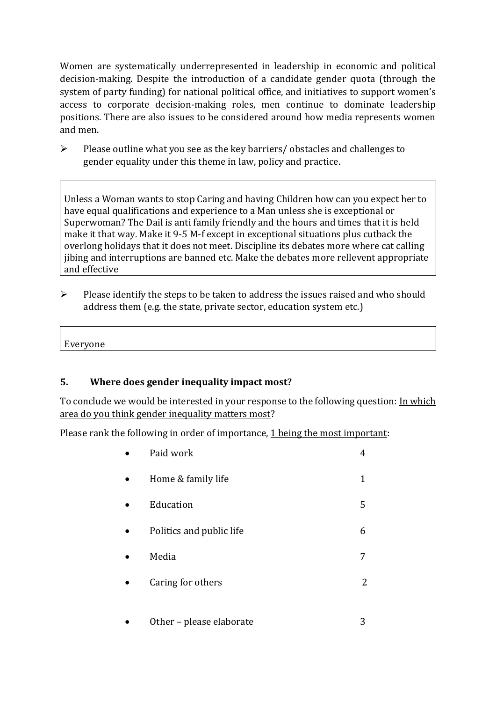Women are systematically underrepresented in leadership in [economic](https://eige.europa.eu/gender-equality-index/2019/compare-countries/power/2/bar) and [political](https://eige.europa.eu/gender-equality-index/2019/compare-countries/power/1/bar)  [decision-](https://eige.europa.eu/gender-equality-index/2019/compare-countries/power/1/bar)making. Despite the introduction of a candidate gender quota (through the system of party funding) for national political office, and [initiatives](https://betterbalance.ie/) to support women's access to corporate decision-making roles, men continue to dominate leadership positions. There are also issues to be considered around how media represents women and men.

➢ Please outline what you see as the key barriers/ obstacles and challenges to gender equality under this theme in law, policy and practice.

Unless a Woman wants to stop Caring and having Children how can you expect her to have equal qualifications and experience to a Man unless she is exceptional or Superwoman? The Dail is anti family friendly and the hours and times that it is held make it that way. Make it 9-5 M-f except in exceptional situations plus cutback the overlong holidays that it does not meet. Discipline its debates more where cat calling jibing and interruptions are banned etc. Make the debates more rellevent appropriate and effective

 $\triangleright$  Please identify the steps to be taken to address the issues raised and who should address them (e.g. the state, private sector, education system etc.)

Everyone

#### **5. Where does gender inequality impact most?**

To conclude we would be interested in your response to the following question: In which area do you think gender inequality matters most?

Please rank the following in order of importance, 1 being the most important:

| Paid work                |   |
|--------------------------|---|
| Home & family life       | 1 |
| Education                | 5 |
| Politics and public life | 6 |
| Media                    | 7 |
| Caring for others        | 2 |
|                          |   |

Other – please elaborate 3